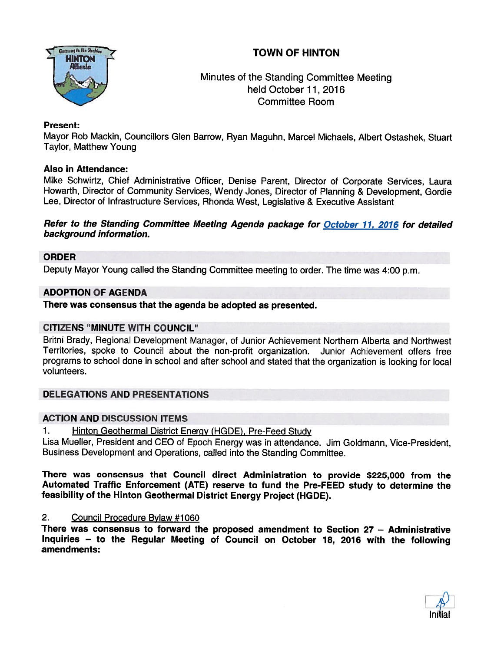# TOWN OF HINTON



# Minutes of the Standing Committee Meeting held October 11, 2016 Committee Room

## Present:

Mayor Rob Mackin, Councillors Glen Barrow, Ryan Maguhn, Marcel Michaels, Albert Ostashek, Stuart Taylor, Matthew Young

### Also in Attendance:

Mike Schwirtz, Chief Administrative Officer, Denise Parent, Director of Corporate Services, Laura Howarth, Director of Community Services, Wendy Jones, Director of Planning & Development, Gordie Lee, Director of Infrastructure Services, Rhonda West, Legislative & Executive Assistant

#### Refer to the Standing Committee Meeting Agenda package for October 71, 2016 for detailed background information.

### ORDER

Deputy Mayor Young called the Standing Committee meeting to order. The time was 4:00 p.m.

### ADOPTION OF AGENDA

There was consensus that the agenda be adopted as presented.

### CITIZENS "MINUTE WITH COUNCIL'

Britni Brady, Regional Development Manager, of Junior Achievement Northern Alberta and Northwest Territories, spoke to Council about the non-profit organization. Junior Achievement offers free programs to school done in school and after school and stated that the organization is looking for local volunteers.

## DELEGATIONS AND PRESENTATIONS

### ACTION AND DISCUSSION ITEMS

1. Hinton Geothermal District Energy (HGDE), Pre-Feed Study

Lisa Mueller, President and CEO of Epoch Energy was in attendance. Jim Goldmann, Vice-President, Business Development and Operations, called into the Standing Committee.

There was consensus that Council direct Administration to provide \$225,000 from the Automated Traffic Enforcement (ATE) reserve to fund the Pre-FEED study to determine the feasibility of the Hinton Geothermal District Energy Project (HGDE).

### 2. Council Procedure Bylaw #1060

There was consensus to forward the proposed amendment to Section 27 — Administrative Inquiries — to the Regular Meeting of Council on October 18, <sup>2016</sup> with the following amendments:

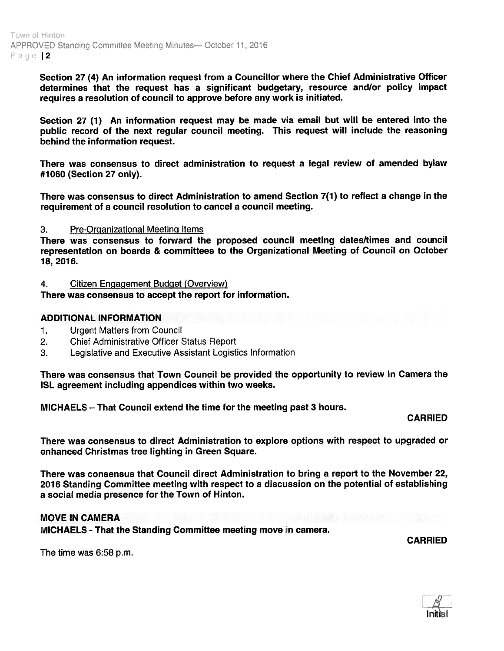Section 27 (4) An information reques<sup>t</sup> from <sup>a</sup> Councillor where the Chief Administrative Officer determines that the reques<sup>t</sup> has <sup>a</sup> significant budgetary, resource and/or policy impact requires <sup>a</sup> resolution of council to approve before any work is initiated.

Section 27 (1) An information reques<sup>t</sup> may be made via email but wilt be entered into the public record of the next regular council meeting. This reques<sup>t</sup> will include the reasoning behind the information request.

There was consensus to direct administration to reques<sup>t</sup> <sup>a</sup> legal review of amended bylaw #1060 (Section 27 only).

There was consensus to direct Administration to amend Section 7(1) to reflect a change in the requirement of <sup>a</sup> council resolution to cancel <sup>a</sup> council meeting.

#### 3. Pre-Organizational Meeting Items

There was consensus to forward the proposed council meeting dates/times and council representation on boards & committees to the Organizational Meeting of Council on October 18, 2016.

#### 4. Citizen Engagement Budget (Overview)

There was consensus to accep<sup>t</sup> the repor<sup>t</sup> for information.

#### ADDITIONAL INFORMATION

- 1. Urgent Matters from Council
- 2. Chief Administrative Officer Status Report
- 3. Legislative and Executive Assistant Logistics Information

There was consensus that Town Council be provided the opportunity to review In Camera the ISL agreemen<sup>t</sup> including appendices within two weeks.

MICHAELS — That Council extend the time for the meeting pas<sup>t</sup> 3 hours.

### CARRIED

There was consensus to direct Administration to explore options with respec<sup>t</sup> to upgraded or enhanced Christmas tree lighting in Green Square.

There was consensus that Council direct Administration to bring <sup>a</sup> repor<sup>t</sup> to the November 22, <sup>2016</sup> Standing Committee meeting with respec<sup>t</sup> to <sup>a</sup> discussion on the potential of establishing <sup>a</sup> social media presence for the Town of Hinton.

## MOVE IN CAMERA

MICHAELS - That the Standing Committee meeting move in camera.

CARRIED

The time was 6:58 p.m.